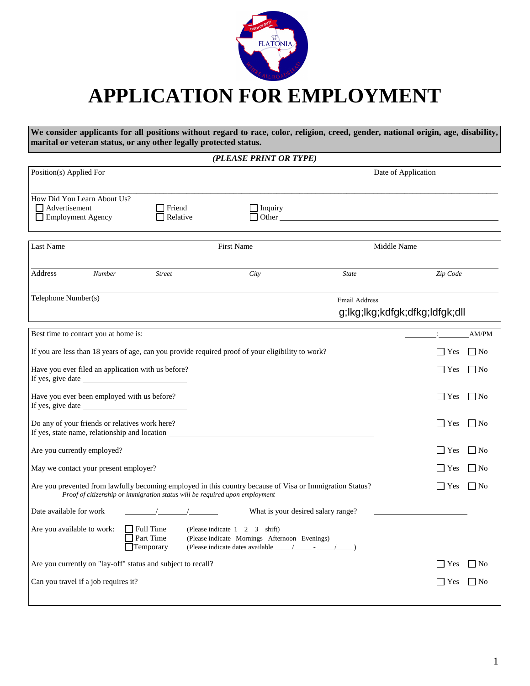

# **APPLICATION FOR EMPLOYMENT**

**We consider applicants for all positions without regard to race, color, religion, creed, gender, national origin, age, disability, marital or veteran status, or any other legally protected status.**

*(PLEASE PRINT OR TYPE)* 

| Position(s) Applied For                                                                                                             |                                                                             |                                                                                |                                                                                                                                                                                                                                | Date of Application            |
|-------------------------------------------------------------------------------------------------------------------------------------|-----------------------------------------------------------------------------|--------------------------------------------------------------------------------|--------------------------------------------------------------------------------------------------------------------------------------------------------------------------------------------------------------------------------|--------------------------------|
| How Did You Learn About Us?<br>Advertisement<br><b>Employment Agency</b>                                                            | T Friend<br>Relative                                                        | Inquiry                                                                        | Other than the contract of the contract of the contract of the contract of the contract of the contract of the contract of the contract of the contract of the contract of the contract of the contract of the contract of the |                                |
| Last Name                                                                                                                           |                                                                             | <b>First Name</b>                                                              | Middle Name                                                                                                                                                                                                                    |                                |
| <b>Address</b><br><b>Number</b>                                                                                                     | <b>Street</b>                                                               | City                                                                           | <b>State</b>                                                                                                                                                                                                                   | Zip Code                       |
| Telephone Number(s)                                                                                                                 |                                                                             |                                                                                | Email Address                                                                                                                                                                                                                  | g;lkg;lkg;kdfgk;dfkg;ldfgk;dll |
| Best time to contact you at home is:                                                                                                |                                                                             |                                                                                |                                                                                                                                                                                                                                | AM/PM                          |
| If you are less than 18 years of age, can you provide required proof of your eligibility to work?                                   |                                                                             |                                                                                |                                                                                                                                                                                                                                | $\Box$ Yes<br>    No           |
| Have you ever filed an application with us before?                                                                                  |                                                                             |                                                                                |                                                                                                                                                                                                                                | l l Yes<br>    No              |
| Have you ever been employed with us before?                                                                                         |                                                                             |                                                                                |                                                                                                                                                                                                                                | $\vert \vert$ Yes<br>    No    |
| Do any of your friends or relatives work here?<br>If yes, state name, relationship and location ___________________________________ |                                                                             |                                                                                |                                                                                                                                                                                                                                | ∣ ∣Yes<br>「∣No                 |
| Are you currently employed?                                                                                                         |                                                                             |                                                                                |                                                                                                                                                                                                                                | No<br>l   Yes                  |
| May we contact your present employer?                                                                                               |                                                                             |                                                                                |                                                                                                                                                                                                                                | No<br>Yes                      |
| Are you prevented from lawfully becoming employed in this country because of Visa or Immigration Status?                            | Proof of citizenship or immigration status will be required upon employment |                                                                                |                                                                                                                                                                                                                                | $\mathbf{Yes}$<br>l INo        |
| Date available for work                                                                                                             |                                                                             | What is your desired salary range?                                             |                                                                                                                                                                                                                                |                                |
| Are you available to work:                                                                                                          | $\vert$ Full Time<br>Part Time<br>$\Box$ Temporary                          | (Please indicate 1 2 3 shift)<br>(Please indicate Mornings Afternoon Evenings) |                                                                                                                                                                                                                                |                                |
| Are you currently on "lay-off" status and subject to recall?                                                                        |                                                                             |                                                                                |                                                                                                                                                                                                                                | l No<br>Yes                    |
| Can you travel if a job requires it?                                                                                                |                                                                             |                                                                                |                                                                                                                                                                                                                                | – I No<br>Yes                  |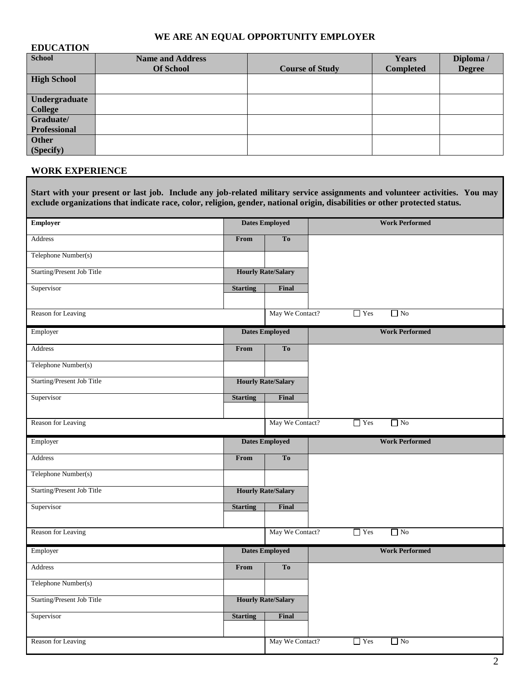## **WE ARE AN EQUAL OPPORTUNITY EMPLOYER**

#### **EDUCATION**

| <b>School</b>        | <b>Name and Address</b> |                        | <b>Years</b>     | Diploma /     |
|----------------------|-------------------------|------------------------|------------------|---------------|
|                      | <b>Of School</b>        | <b>Course of Study</b> | <b>Completed</b> | <b>Degree</b> |
| <b>High School</b>   |                         |                        |                  |               |
| <b>Undergraduate</b> |                         |                        |                  |               |
| <b>College</b>       |                         |                        |                  |               |
| Graduate/            |                         |                        |                  |               |
| <b>Professional</b>  |                         |                        |                  |               |
| <b>Other</b>         |                         |                        |                  |               |
| (Specify)            |                         |                        |                  |               |

## **WORK EXPERIENCE**

| <b>Employer</b>                   | <b>Dates Employed</b> |                           | <b>Work Performed</b>   |
|-----------------------------------|-----------------------|---------------------------|-------------------------|
| Address                           | From                  | To                        |                         |
| Telephone Number(s)               |                       |                           |                         |
| Starting/Present Job Title        |                       | <b>Hourly Rate/Salary</b> |                         |
| Supervisor                        | <b>Starting</b>       | Final                     |                         |
| Reason for Leaving                |                       | May We Contact?           | $\Box$ No<br>$\Box$ Yes |
| Employer                          |                       | <b>Dates Employed</b>     | <b>Work Performed</b>   |
| Address                           | From                  | To                        |                         |
| Telephone Number(s)               |                       |                           |                         |
| <b>Starting/Present Job Title</b> |                       | <b>Hourly Rate/Salary</b> |                         |
| Supervisor                        | <b>Starting</b>       | Final                     |                         |
|                                   |                       |                           |                         |
| Reason for Leaving                |                       | May We Contact?           | $\Box$ Yes<br>$\Box$ No |
| Employer                          |                       | <b>Dates Employed</b>     | <b>Work Performed</b>   |
| Address                           | From                  | To                        |                         |
| Telephone Number(s)               |                       |                           |                         |
| Starting/Present Job Title        |                       | <b>Hourly Rate/Salary</b> |                         |
| Supervisor                        | <b>Starting</b>       | Final                     |                         |
|                                   |                       | May We Contact?           | $\Box$ Yes<br>$\Box$ No |
| Reason for Leaving                |                       |                           |                         |
| Employer                          |                       | <b>Dates Employed</b>     | <b>Work Performed</b>   |
| Address                           | From                  | To                        |                         |
| Telephone Number(s)               |                       |                           |                         |
| Starting/Present Job Title        |                       | <b>Hourly Rate/Salary</b> |                         |
| Supervisor                        | <b>Starting</b>       | Final                     |                         |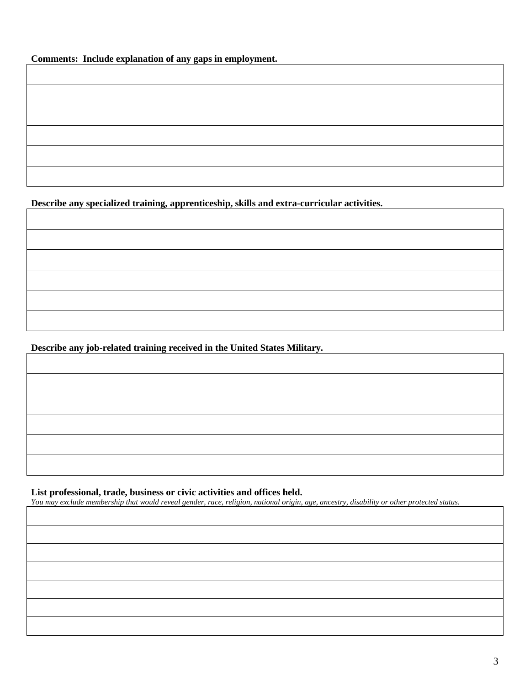**Comments: Include explanation of any gaps in employment.** 

**Describe any specialized training, apprenticeship, skills and extra-curricular activities.** 

**Describe any job-related training received in the United States Military.**

## **List professional, trade, business or civic activities and offices held.**

*You may exclude membership that would reveal gender, race, religion, national origin, age, ancestry, disability or other protected status.*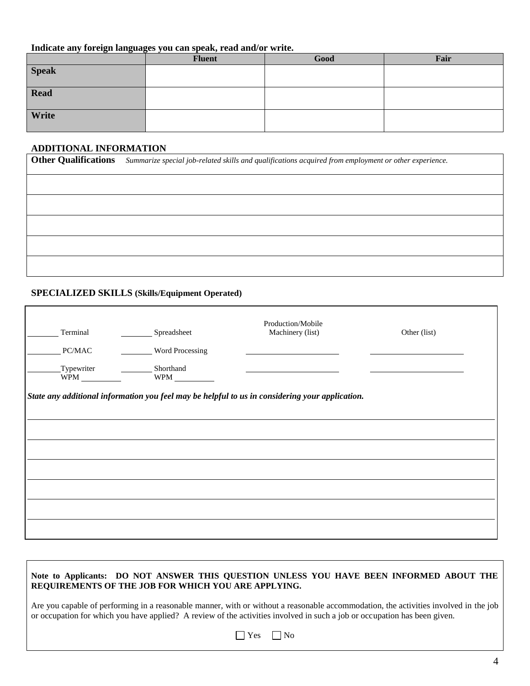#### **Indicate any foreign languages you can speak, read and/or write.**

|              | <b>Fluent</b> | Good | Fair |
|--------------|---------------|------|------|
| <b>Speak</b> |               |      |      |
| Read         |               |      |      |
| Write        |               |      |      |

#### **ADDITIONAL INFORMATION**

| Other Qualifications Summarize special job-related skills and qualifications acquired from employment or other experience. |
|----------------------------------------------------------------------------------------------------------------------------|
|                                                                                                                            |
|                                                                                                                            |
|                                                                                                                            |
|                                                                                                                            |
|                                                                                                                            |

#### **SPECIALIZED SKILLS (Skills/Equipment Operated)**

| Terminal   | Spreadsheet      | Production/Mobile<br>Machinery (list)                                                           | Other (list) |
|------------|------------------|-------------------------------------------------------------------------------------------------|--------------|
| PC/MAC     | Word Processing  |                                                                                                 |              |
| Typewriter | <b>Shorthand</b> |                                                                                                 |              |
|            |                  | State any additional information you feel may be helpful to us in considering your application. |              |
|            |                  |                                                                                                 |              |
|            |                  |                                                                                                 |              |
|            |                  |                                                                                                 |              |
|            |                  |                                                                                                 |              |
|            |                  |                                                                                                 |              |
|            |                  |                                                                                                 |              |
|            |                  |                                                                                                 |              |
|            |                  |                                                                                                 |              |

#### **Note to Applicants: DO NOT ANSWER THIS QUESTION UNLESS YOU HAVE BEEN INFORMED ABOUT THE REQUIREMENTS OF THE JOB FOR WHICH YOU ARE APPLYING.**

Are you capable of performing in a reasonable manner, with or without a reasonable accommodation, the activities involved in the job or occupation for which you have applied? A review of the activities involved in such a job or occupation has been given.

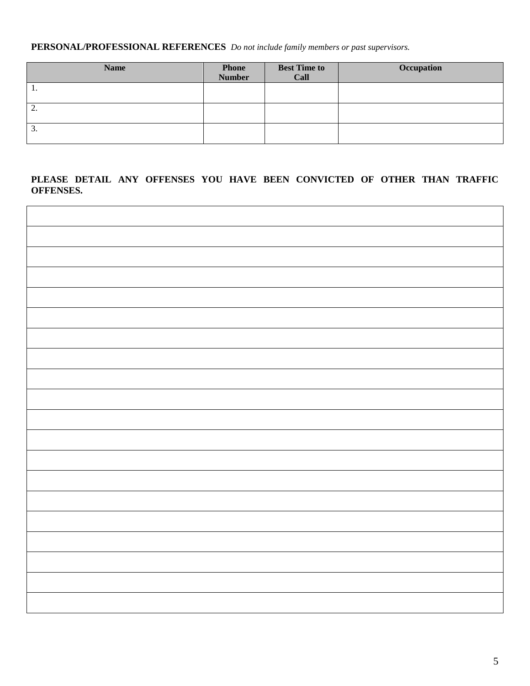**PERSONAL/PROFESSIONAL REFERENCES** *Do not include family members or past supervisors.* 

| <b>Name</b> | <b>Phone</b><br>Number | <b>Best Time to</b><br>Call | Occupation |
|-------------|------------------------|-----------------------------|------------|
| . .         |                        |                             |            |
| ◠<br>، ت    |                        |                             |            |
| 3.          |                        |                             |            |

### **PLEASE DETAIL ANY OFFENSES YOU HAVE BEEN CONVICTED OF OTHER THAN TRAFFIC OFFENSES.**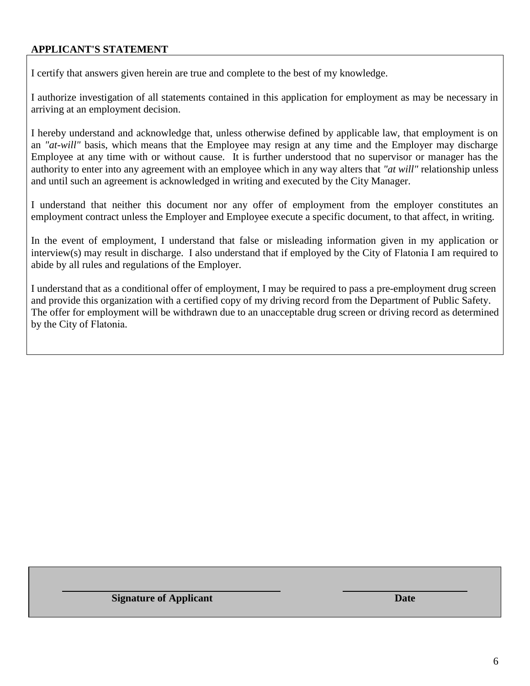## **APPLICANT'S STATEMENT**

I certify that answers given herein are true and complete to the best of my knowledge.

I authorize investigation of all statements contained in this application for employment as may be necessary in arriving at an employment decision.

I hereby understand and acknowledge that, unless otherwise defined by applicable law, that employment is on an *"at-will"* basis, which means that the Employee may resign at any time and the Employer may discharge Employee at any time with or without cause. It is further understood that no supervisor or manager has the authority to enter into any agreement with an employee which in any way alters that *"at will"* relationship unless and until such an agreement is acknowledged in writing and executed by the City Manager.

I understand that neither this document nor any offer of employment from the employer constitutes an employment contract unless the Employer and Employee execute a specific document, to that affect, in writing.

In the event of employment, I understand that false or misleading information given in my application or interview(s) may result in discharge. I also understand that if employed by the City of Flatonia I am required to abide by all rules and regulations of the Employer.

I understand that as a conditional offer of employment, I may be required to pass a pre-employment drug screen and provide this organization with a certified copy of my driving record from the Department of Public Safety. The offer for employment will be withdrawn due to an unacceptable drug screen or driving record as determined by the City of Flatonia.

**Signature of Applicant Date**